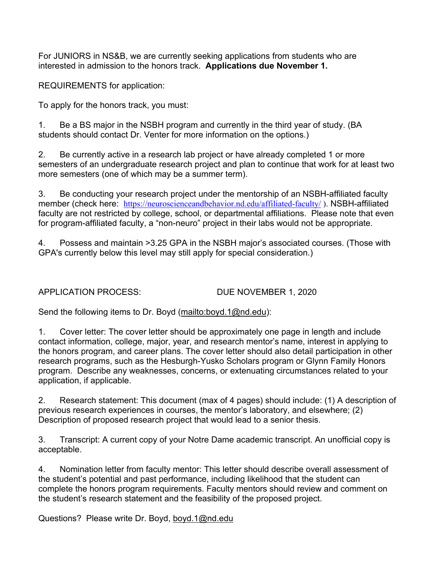For JUNIORS in NS&B, we are currently seeking applications from students who are interested in admission to the honors track. **Applications due November 1.**

REQUIREMENTS for application:

To apply for the honors track, you must:

1. Be a BS major in the NSBH program and currently in the third year of study. (BA students should contact Dr. Venter for more information on the options.)

2. Be currently active in a research lab project or have already completed 1 or more semesters of an undergraduate research project and plan to continue that work for at least two more semesters (one of which may be a summer term).

3. Be conducting your research project under the mentorship of an NSBH-affiliated faculty member (check here: https://neuroscienceandbehavior.nd.edu/affiliated-faculty/ ). NSBH-affiliated faculty are not restricted by college, school, or departmental affiliations. Please note that even for program-affiliated faculty, a "non-neuro" project in their labs would not be appropriate.

4. Possess and maintain >3.25 GPA in the NSBH major's associated courses. (Those with GPA's currently below this level may still apply for special consideration.)

APPLICATION PROCESS: DUE NOVEMBER 1, 2020

Send the following items to Dr. Boyd (mailto:boyd.1@nd.edu):

1. Cover letter: The cover letter should be approximately one page in length and include contact information, college, major, year, and research mentor's name, interest in applying to the honors program, and career plans. The cover letter should also detail participation in other research programs, such as the Hesburgh-Yusko Scholars program or Glynn Family Honors program. Describe any weaknesses, concerns, or extenuating circumstances related to your application, if applicable.

2. Research statement: This document (max of 4 pages) should include: (1) A description of previous research experiences in courses, the mentor's laboratory, and elsewhere; (2) Description of proposed research project that would lead to a senior thesis.

3. Transcript: A current copy of your Notre Dame academic transcript. An unofficial copy is acceptable.

4. Nomination letter from faculty mentor: This letter should describe overall assessment of the student's potential and past performance, including likelihood that the student can complete the honors program requirements. Faculty mentors should review and comment on the student's research statement and the feasibility of the proposed project.

Questions? Please write Dr. Boyd, boyd.1@nd.edu